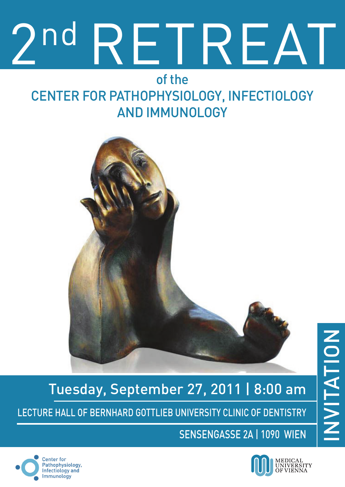# nd RFTRFAT

## of the center for pathophysiology, infectiology and Immunology



# NUITATION invitationTuesday, September 27, 2011 | 8:00 am Lecture hall of bernhard gottlieb university clinic of dentistry

Sensengasse 2a | 1090 Wien